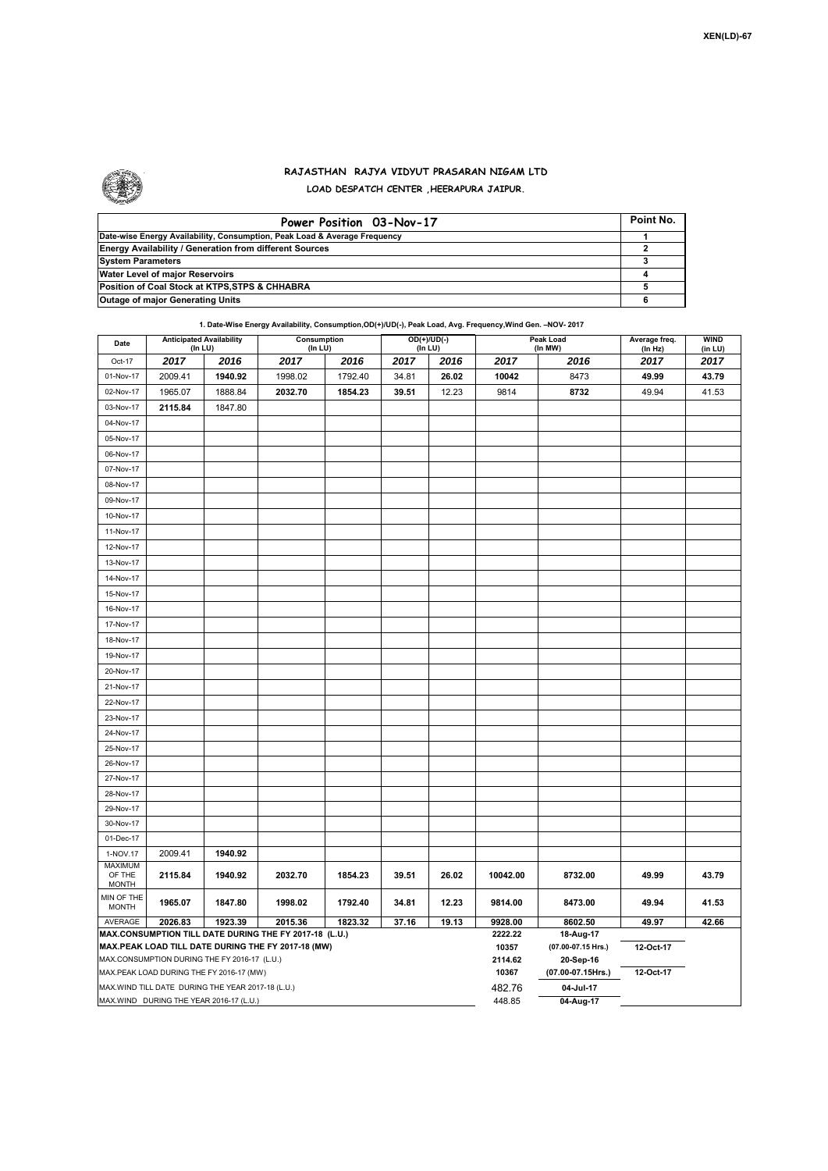

## **RAJASTHAN RAJYA VIDYUT PRASARAN NIGAM LTD LOAD DESPATCH CENTER ,HEERAPURA JAIPUR.**

| Power Position 03-Nov-17                                                  | Point No. |
|---------------------------------------------------------------------------|-----------|
| Date-wise Energy Availability, Consumption, Peak Load & Average Frequency |           |
| <b>Energy Availability / Generation from different Sources</b>            |           |
| <b>System Parameters</b>                                                  |           |
| Water Level of major Reservoirs                                           |           |
| Position of Coal Stock at KTPS, STPS & CHHABRA                            |           |
| <b>Outage of major Generating Units</b>                                   |           |

**Peak Load 1. Date-Wise Energy Availability, Consumption,OD(+)/UD(-), Peak Load, Avg. Frequency,Wind Gen. –NOV- 2017 Date Anticipated Availability Consumption OD(+)/UD(-)** 

| Date                                               | (In LU) | <b>Anticipated Availability</b>              | Consumption<br>(In LU)                                                                                       |         |       | OD(+)/UD(-)<br>(In LU) |                  | Peak Load<br>(In MW)            | Average freq.<br>(In Hz) | <b>WIND</b><br>(in LU) |
|----------------------------------------------------|---------|----------------------------------------------|--------------------------------------------------------------------------------------------------------------|---------|-------|------------------------|------------------|---------------------------------|--------------------------|------------------------|
| Oct-17                                             | 2017    | 2016                                         | 2017                                                                                                         | 2016    | 2017  | 2016                   | 2017             | 2016                            | 2017                     | 2017                   |
| 01-Nov-17                                          | 2009.41 | 1940.92                                      | 1998.02                                                                                                      | 1792.40 | 34.81 | 26.02                  | 10042            | 8473                            | 49.99                    | 43.79                  |
| 02-Nov-17                                          | 1965.07 | 1888.84                                      | 2032.70                                                                                                      | 1854.23 | 39.51 | 12.23                  | 9814             | 8732                            | 49.94                    | 41.53                  |
| 03-Nov-17                                          | 2115.84 | 1847.80                                      |                                                                                                              |         |       |                        |                  |                                 |                          |                        |
| 04-Nov-17                                          |         |                                              |                                                                                                              |         |       |                        |                  |                                 |                          |                        |
| 05-Nov-17                                          |         |                                              |                                                                                                              |         |       |                        |                  |                                 |                          |                        |
| 06-Nov-17                                          |         |                                              |                                                                                                              |         |       |                        |                  |                                 |                          |                        |
| 07-Nov-17                                          |         |                                              |                                                                                                              |         |       |                        |                  |                                 |                          |                        |
| 08-Nov-17                                          |         |                                              |                                                                                                              |         |       |                        |                  |                                 |                          |                        |
| 09-Nov-17                                          |         |                                              |                                                                                                              |         |       |                        |                  |                                 |                          |                        |
| 10-Nov-17                                          |         |                                              |                                                                                                              |         |       |                        |                  |                                 |                          |                        |
| 11-Nov-17                                          |         |                                              |                                                                                                              |         |       |                        |                  |                                 |                          |                        |
| 12-Nov-17                                          |         |                                              |                                                                                                              |         |       |                        |                  |                                 |                          |                        |
| 13-Nov-17                                          |         |                                              |                                                                                                              |         |       |                        |                  |                                 |                          |                        |
| 14-Nov-17                                          |         |                                              |                                                                                                              |         |       |                        |                  |                                 |                          |                        |
| 15-Nov-17                                          |         |                                              |                                                                                                              |         |       |                        |                  |                                 |                          |                        |
| 16-Nov-17                                          |         |                                              |                                                                                                              |         |       |                        |                  |                                 |                          |                        |
| 17-Nov-17                                          |         |                                              |                                                                                                              |         |       |                        |                  |                                 |                          |                        |
| 18-Nov-17                                          |         |                                              |                                                                                                              |         |       |                        |                  |                                 |                          |                        |
| 19-Nov-17                                          |         |                                              |                                                                                                              |         |       |                        |                  |                                 |                          |                        |
| 20-Nov-17                                          |         |                                              |                                                                                                              |         |       |                        |                  |                                 |                          |                        |
| 21-Nov-17                                          |         |                                              |                                                                                                              |         |       |                        |                  |                                 |                          |                        |
| 22-Nov-17                                          |         |                                              |                                                                                                              |         |       |                        |                  |                                 |                          |                        |
| 23-Nov-17                                          |         |                                              |                                                                                                              |         |       |                        |                  |                                 |                          |                        |
| 24-Nov-17                                          |         |                                              |                                                                                                              |         |       |                        |                  |                                 |                          |                        |
| 25-Nov-17                                          |         |                                              |                                                                                                              |         |       |                        |                  |                                 |                          |                        |
| 26-Nov-17                                          |         |                                              |                                                                                                              |         |       |                        |                  |                                 |                          |                        |
| 27-Nov-17                                          |         |                                              |                                                                                                              |         |       |                        |                  |                                 |                          |                        |
| 28-Nov-17                                          |         |                                              |                                                                                                              |         |       |                        |                  |                                 |                          |                        |
| 29-Nov-17                                          |         |                                              |                                                                                                              |         |       |                        |                  |                                 |                          |                        |
| 30-Nov-17                                          |         |                                              |                                                                                                              |         |       |                        |                  |                                 |                          |                        |
| 01-Dec-17                                          |         |                                              |                                                                                                              |         |       |                        |                  |                                 |                          |                        |
| 1-NOV.17                                           | 2009.41 | 1940.92                                      |                                                                                                              |         |       |                        |                  |                                 |                          |                        |
| <b>MAXIMUM</b><br>OF THE<br><b>MONTH</b>           | 2115.84 | 1940.92                                      | 2032.70                                                                                                      | 1854.23 | 39.51 | 26.02                  | 10042.00         | 8732.00                         | 49.99                    | 43.79                  |
| MIN OF THE<br><b>MONTH</b>                         | 1965.07 | 1847.80                                      | 1998.02                                                                                                      | 1792.40 | 34.81 | 12.23                  | 9814.00          | 8473.00                         | 49.94                    | 41.53                  |
| AVERAGE                                            | 2026.83 | 1923.39                                      | 2015.36                                                                                                      | 1823.32 | 37.16 | 19.13                  | 9928.00          | 8602.50                         | 49.97                    | 42.66                  |
|                                                    |         |                                              | MAX.CONSUMPTION TILL DATE DURING THE FY 2017-18 (L.U.)<br>MAX.PEAK LOAD TILL DATE DURING THE FY 2017-18 (MW) |         |       |                        | 2222.22<br>10357 | 18-Aug-17<br>(07.00-07.15 Hrs.) | 12-Oct-17                |                        |
|                                                    |         | MAX.CONSUMPTION DURING THE FY 2016-17 (L.U.) |                                                                                                              |         |       |                        | 2114.62          | 20-Sep-16                       |                          |                        |
|                                                    |         | MAX.PEAK LOAD DURING THE FY 2016-17 (MW)     |                                                                                                              |         |       |                        | 10367            | (07.00-07.15Hrs.)               | 12-Oct-17                |                        |
| MAX. WIND TILL DATE DURING THE YEAR 2017-18 (L.U.) |         |                                              |                                                                                                              |         |       |                        | 482.76           | 04-Jul-17                       |                          |                        |
|                                                    |         | MAX.WIND DURING THE YEAR 2016-17 (L.U.)      |                                                                                                              |         |       |                        | 448.85           | 04-Aug-17                       |                          |                        |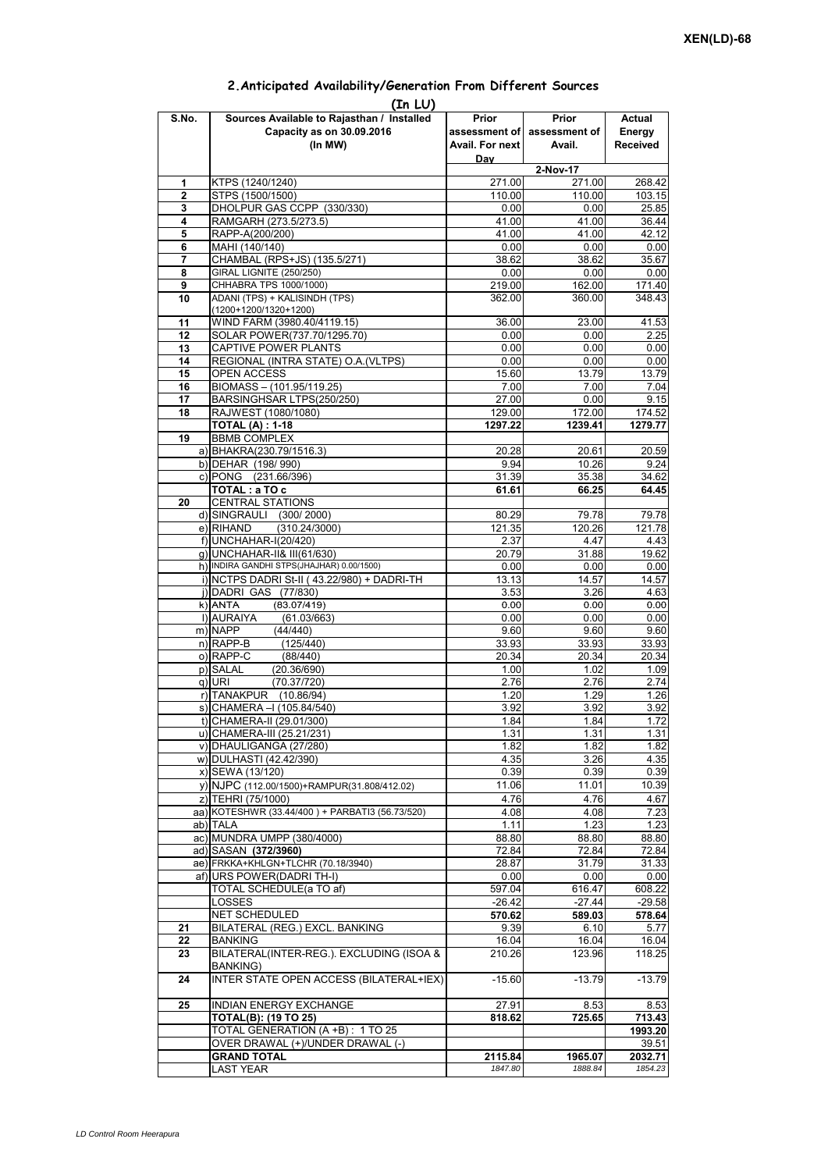|                | (In LU)                                              |                    |                             |                    |  |  |  |  |  |
|----------------|------------------------------------------------------|--------------------|-----------------------------|--------------------|--|--|--|--|--|
| S.No.          | Sources Available to Rajasthan / Installed           | Prior              | Prior                       | Actual             |  |  |  |  |  |
|                | Capacity as on 30.09.2016                            |                    | assessment of assessment of | Energy             |  |  |  |  |  |
|                | (In MW)                                              | Avail. For next    | Avail.                      | <b>Received</b>    |  |  |  |  |  |
|                |                                                      | Day                |                             |                    |  |  |  |  |  |
|                |                                                      |                    | 2-Nov-17                    |                    |  |  |  |  |  |
| 1              | KTPS (1240/1240)                                     | 271.00             | 271.00                      | 268.42             |  |  |  |  |  |
| $\overline{2}$ | STPS (1500/1500)                                     | 110.00             | 110.00                      | 103.15             |  |  |  |  |  |
| 3              | DHOLPUR GAS CCPP (330/330)                           | 0.00               | 0.00                        | 25.85              |  |  |  |  |  |
| 4              | RAMGARH (273.5/273.5)                                | 41.00              | 41.00                       | 36.44              |  |  |  |  |  |
| 5              | RAPP-A(200/200)                                      | 41.00              | 41.00                       | 42.12              |  |  |  |  |  |
| 6              | MAHI (140/140)                                       | 0.00               | 0.00                        | 0.00               |  |  |  |  |  |
| 7              | CHAMBAL (RPS+JS) (135.5/271)                         | 38.62              | 38.62                       | 35.67              |  |  |  |  |  |
| 8              | GIRAL LIGNITE (250/250)                              | 0.00               | 0.00                        | 0.00               |  |  |  |  |  |
| 9              | CHHABRA TPS 1000/1000)                               | 219.00             | 162.00                      | 171.40             |  |  |  |  |  |
| 10             | ADANI (TPS) + KALISINDH (TPS)                        | 362.00             | 360.00                      | 348.43             |  |  |  |  |  |
| 11             | (1200+1200/1320+1200)<br>WIND FARM (3980.40/4119.15) | 36.00              | 23.00                       | 41.53              |  |  |  |  |  |
| 12             | SOLAR POWER(737.70/1295.70)                          | 0.00               | 0.00                        | 2.25               |  |  |  |  |  |
| 13             | CAPTIVE POWER PLANTS                                 | 0.00               | 0.00                        | 0.00               |  |  |  |  |  |
| 14             | REGIONAL (INTRA STATE) O.A. (VLTPS)                  | 0.00               | 0.00                        | 0.00               |  |  |  |  |  |
| 15             | OPEN ACCESS                                          | 15.60              | 13.79                       | 13.79              |  |  |  |  |  |
| 16             | BIOMASS - (101.95/119.25)                            | 7.00               | 7.00                        | 7.04               |  |  |  |  |  |
| 17             | BARSINGHSAR LTPS(250/250)                            | 27.00              | 0.00                        | 9.15               |  |  |  |  |  |
| 18             | RAJWEST (1080/1080)                                  | 129.00             | 172.00                      | 174.52             |  |  |  |  |  |
|                | <b>TOTAL (A): 1-18</b>                               | 1297.22            | 1239.41                     | 1279.77            |  |  |  |  |  |
| 19             | <b>BBMB COMPLEX</b>                                  |                    |                             |                    |  |  |  |  |  |
|                | a) BHAKRA(230.79/1516.3)                             | 20.28              | 20.61                       | 20.59              |  |  |  |  |  |
|                | b) DEHAR (198/990)                                   | 9.94               | 10.26                       | 9.24               |  |  |  |  |  |
|                | c) PONG (231.66/396)                                 | 31.39              | 35.38                       | 34.62              |  |  |  |  |  |
|                | TOTAL: a TO c                                        | 61.61              | 66.25                       | 64.45              |  |  |  |  |  |
| 20             | <b>CENTRAL STATIONS</b>                              |                    |                             |                    |  |  |  |  |  |
|                | d) SINGRAULI (300/2000)                              | 80.29              | 79.78                       | 79.78              |  |  |  |  |  |
|                | (310.24/3000)<br>e) RIHAND                           | 121.35             | 120.26                      | 121.78             |  |  |  |  |  |
|                | f) UNCHAHAR-I(20/420)                                | 2.37               | 4.47                        | 4.43               |  |  |  |  |  |
|                | g) UNCHAHAR-II& III(61/630)                          | 20.79              | 31.88                       | 19.62              |  |  |  |  |  |
|                | h) INDIRA GANDHI STPS(JHAJHAR) 0.00/1500)            | 0.00               | 0.00                        | 0.00               |  |  |  |  |  |
|                | i) NCTPS DADRI St-II (43.22/980) + DADRI-TH          | 13.13              | 14.57                       | 14.57              |  |  |  |  |  |
|                | j) DADRI GAS (77/830)                                | 3.53               | 3.26                        | 4.63               |  |  |  |  |  |
|                | (83.07/419)<br>k) ANTA                               | 0.00               | 0.00                        | 0.00               |  |  |  |  |  |
|                | I) AURAIYA<br>(61.03/663)                            | 0.00               | 0.00                        | 0.00               |  |  |  |  |  |
|                | m) NAPP<br>(44/440)                                  | 9.60               | 9.60                        | 9.60               |  |  |  |  |  |
|                | $n)$ RAPP-B<br>(125/440)                             | 33.93              | 33.93                       | 33.93              |  |  |  |  |  |
|                | o) RAPP-C<br>(88/440)                                | 20.34              | 20.34                       | 20.34              |  |  |  |  |  |
|                | p) SALAL<br>(20.36/690)                              | 1.00               | 1.02                        | 1.09               |  |  |  |  |  |
|                | $q)$ URI<br>(70.37/720)                              | 2.76               | 2.76                        | 2.74               |  |  |  |  |  |
|                | r) TANAKPUR<br>(10.86/94)                            | 1.20               | 1.29                        | 1.26               |  |  |  |  |  |
|                | s) CHAMERA - (105.84/540)                            | 3.92               | 3.92                        | 3.92               |  |  |  |  |  |
|                | t) CHAMERA-II (29.01/300)                            | 1.84               | 1.84                        | 1.72               |  |  |  |  |  |
|                | u) CHAMERA-III (25.21/231)                           | 1.31               | 1.31                        | 1.31               |  |  |  |  |  |
|                | v) DHAULIGANGA (27/280)                              | 1.82               | 1.82                        | 1.82               |  |  |  |  |  |
|                | w) DULHASTI (42.42/390)                              | 4.35               | 3.26                        | 4.35               |  |  |  |  |  |
|                | x) SEWA (13/120)                                     | 0.39               | 0.39                        | 0.39               |  |  |  |  |  |
|                | y) NJPC (112.00/1500) + RAMPUR(31.808/412.02)        | 11.06              | 11.01                       | 10.39              |  |  |  |  |  |
|                | z) TEHRI (75/1000)                                   | 4.76               | 4.76                        | 4.67               |  |  |  |  |  |
|                | aa) KOTESHWR (33.44/400) + PARBATI3 (56.73/520)      | 4.08               | 4.08                        | 7.23               |  |  |  |  |  |
|                | ab) TALA                                             | 1.11               | 1.23                        | 1.23               |  |  |  |  |  |
|                | ac) MUNDRA UMPP (380/4000)                           | 88.80              | 88.80                       | 88.80              |  |  |  |  |  |
|                | ad) SASAN (372/3960)                                 | 72.84              | 72.84                       | 72.84              |  |  |  |  |  |
|                | ae) FRKKA+KHLGN+TLCHR (70.18/3940)                   | 28.87              | 31.79                       | 31.33              |  |  |  |  |  |
|                | af) URS POWER(DADRI TH-I)                            | 0.00               | 0.00                        | 0.00               |  |  |  |  |  |
|                | TOTAL SCHEDULE(a TO af)                              | 597.04             | 616.47                      | 608.22             |  |  |  |  |  |
|                | LOSSES                                               | $-26.42$           | $-27.44$                    | $-29.58$           |  |  |  |  |  |
|                | NET SCHEDULED                                        | 570.62             | 589.03                      | 578.64             |  |  |  |  |  |
| 21             | BILATERAL (REG.) EXCL. BANKING                       | 9.39               | 6.10                        | 5.77               |  |  |  |  |  |
| 22             | <b>BANKING</b>                                       | 16.04              | 16.04                       | 16.04              |  |  |  |  |  |
| 23             | BILATERAL(INTER-REG.). EXCLUDING (ISOA &             | 210.26             | 123.96                      | 118.25             |  |  |  |  |  |
| 24             | BANKING)<br>INTER STATE OPEN ACCESS (BILATERAL+IEX)  | $-15.60$           | $-13.79$                    | $-13.79$           |  |  |  |  |  |
|                |                                                      |                    |                             |                    |  |  |  |  |  |
| 25             | <b>INDIAN ENERGY EXCHANGE</b>                        | 27.91              | 8.53                        | 8.53               |  |  |  |  |  |
|                | <b>TOTAL(B): (19 TO 25)</b>                          | 818.62             | 725.65                      | 713.43             |  |  |  |  |  |
|                | TOTAL GENERATION (A +B) : 1 TO 25                    |                    |                             | 1993.20            |  |  |  |  |  |
|                | OVER DRAWAL (+)/UNDER DRAWAL (-)                     |                    |                             | 39.51              |  |  |  |  |  |
|                | <b>GRAND TOTAL</b>                                   | 2115.84<br>1847.80 | 1965.07<br>1888.84          | 2032.71<br>1854.23 |  |  |  |  |  |
|                | <b>LAST YEAR</b>                                     |                    |                             |                    |  |  |  |  |  |

## **2.Anticipated Availability/Generation From Different Sources**